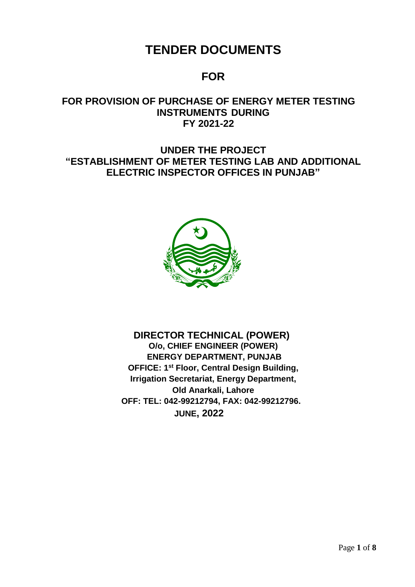# **TENDER DOCUMENTS**

# **FOR**

# **FOR PROVISION OF PURCHASE OF ENERGY METER TESTING INSTRUMENTS DURING FY 2021-22**

# **UNDER THE PROJECT "ESTABLISHMENT OF METER TESTING LAB AND ADDITIONAL ELECTRIC INSPECTOR OFFICES IN PUNJAB"**



 **DIRECTOR TECHNICAL (POWER) O/o, CHIEF ENGINEER (POWER) ENERGY DEPARTMENT, PUNJAB OFFICE: 1 st Floor, Central Design Building, Irrigation Secretariat, Energy Department, Old Anarkali, Lahore OFF: TEL: 042-99212794, FAX: 042-99212796. JUNE, 2022**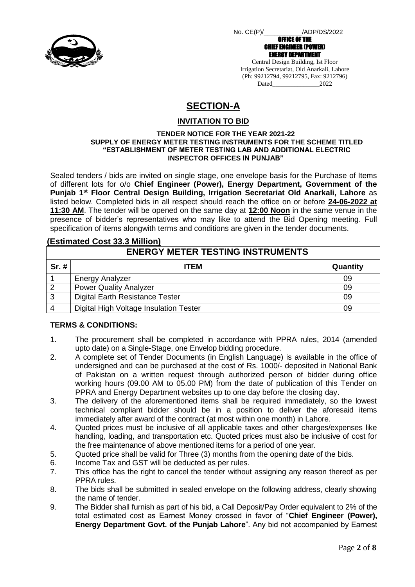

 No. CE(P)/\_\_\_\_\_\_\_\_\_\_\_/ADP/DS/2022 OFFICE OF THE

CHIEF ENGINEER (POWER) ENERGY DEPARTMENT Central Design Building, Ist Floor Irrigation Secretariat, Old Anarkali, Lahore (Ph: 99212794, 99212795, Fax: 9212796) Dated 2022

# **SECTION-A**

### **INVITATION TO BID**

#### **TENDER NOTICE FOR THE YEAR 2021-22 SUPPLY OF ENERGY METER TESTING INSTRUMENTS FOR THE SCHEME TITLED "ESTABLISHMENT OF METER TESTING LAB AND ADDITIONAL ELECTRIC INSPECTOR OFFICES IN PUNJAB"**

Sealed tenders / bids are invited on single stage, one envelope basis for the Purchase of Items of different lots for o/o **Chief Engineer (Power), Energy Department, Government of the Punjab 1st Floor Central Design Building, Irrigation Secretariat Old Anarkali, Lahore** as listed below. Completed bids in all respect should reach the office on or before **24-06-2022 at 11:30 AM**. The tender will be opened on the same day at **12:00 Noon** in the same venue in the presence of bidder's representatives who may like to attend the Bid Opening meeting. Full specification of items alongwith terms and conditions are given in the tender documents.

### **(Estimated Cost 33.3 Million)**

| <b>ENERGY METER TESTING INSTRUMENTS</b> |                                        |          |  |  |  |
|-----------------------------------------|----------------------------------------|----------|--|--|--|
| $Sr.$ #                                 | <b>ITEM</b>                            | Quantity |  |  |  |
|                                         | <b>Energy Analyzer</b>                 | 09       |  |  |  |
| $\overline{2}$                          | <b>Power Quality Analyzer</b>          | 09       |  |  |  |
| 3                                       | Digital Earth Resistance Tester        | 09       |  |  |  |
|                                         | Digital High Voltage Insulation Tester | 09       |  |  |  |

### **TERMS & CONDITIONS:**

- 1. The procurement shall be completed in accordance with PPRA rules, 2014 (amended upto date) on a Single-Stage, one Envelop bidding procedure.
- 2. A complete set of Tender Documents (in English Language) is available in the office of undersigned and can be purchased at the cost of Rs. 1000/- deposited in National Bank of Pakistan on a written request through authorized person of bidder during office working hours (09.00 AM to 05.00 PM) from the date of publication of this Tender on PPRA and Energy Department websites up to one day before the closing day.
- 3. The delivery of the aforementioned items shall be required immediately, so the lowest technical compliant bidder should be in a position to deliver the aforesaid items immediately after award of the contract (at most within one month) in Lahore.
- 4. Quoted prices must be inclusive of all applicable taxes and other charges/expenses like handling, loading, and transportation etc. Quoted prices must also be inclusive of cost for the free maintenance of above mentioned items for a period of one year.
- 5. Quoted price shall be valid for Three (3) months from the opening date of the bids.
- 6. Income Tax and GST will be deducted as per rules.
- 7. This office has the right to cancel the tender without assigning any reason thereof as per PPRA rules.
- 8. The bids shall be submitted in sealed envelope on the following address, clearly showing the name of tender.
- 9. The Bidder shall furnish as part of his bid, a Call Deposit/Pay Order equivalent to 2% of the total estimated cost as Earnest Money crossed in favor of "**Chief Engineer (Power), Energy Department Govt. of the Punjab Lahore**". Any bid not accompanied by Earnest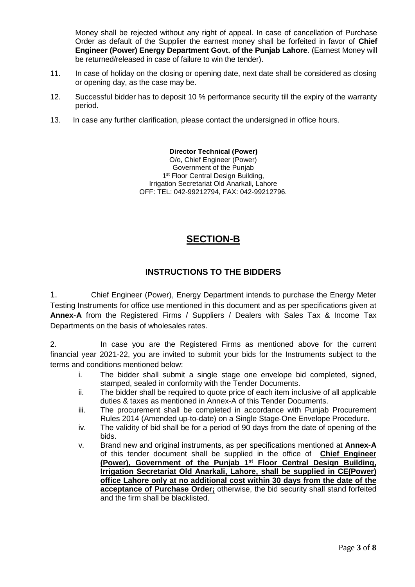Money shall be rejected without any right of appeal. In case of cancellation of Purchase Order as default of the Supplier the earnest money shall be forfeited in favor of **Chief Engineer (Power) Energy Department Govt. of the Punjab Lahore**. (Earnest Money will be returned/released in case of failure to win the tender).

- 11. In case of holiday on the closing or opening date, next date shall be considered as closing or opening day, as the case may be.
- 12. Successful bidder has to deposit 10 % performance security till the expiry of the warranty period.
- 13. In case any further clarification, please contact the undersigned in office hours.

**Director Technical (Power)**  O/o, Chief Engineer (Power) Government of the Punjab 1<sup>st</sup> Floor Central Design Building, Irrigation Secretariat Old Anarkali, Lahore OFF: TEL: 042-99212794, FAX: 042-99212796.

# **SECTION-B**

## **INSTRUCTIONS TO THE BIDDERS**

1. Chief Engineer (Power), Energy Department intends to purchase the Energy Meter Testing Instruments for office use mentioned in this document and as per specifications given at **Annex-A** from the Registered Firms / Suppliers / Dealers with Sales Tax & Income Tax Departments on the basis of wholesales rates.

2. In case you are the Registered Firms as mentioned above for the current financial year 2021-22, you are invited to submit your bids for the Instruments subject to the terms and conditions mentioned below:

- i. The bidder shall submit a single stage one envelope bid completed, signed, stamped, sealed in conformity with the Tender Documents.
- ii. The bidder shall be required to quote price of each item inclusive of all applicable duties & taxes as mentioned in Annex-A of this Tender Documents.
- iii. The procurement shall be completed in accordance with Punjab Procurement Rules 2014 (Amended up-to-date) on a Single Stage-One Envelope Procedure.
- iv. The validity of bid shall be for a period of 90 days from the date of opening of the bids.
- v. Brand new and original instruments, as per specifications mentioned at **Annex-A** of this tender document shall be supplied in the office of **Chief Engineer (Power), Government of the Punjab 1st Floor Central Design Building, Irrigation Secretariat Old Anarkali, Lahore, shall be supplied in CE(Power) office Lahore only at no additional cost within 30 days from the date of the acceptance of Purchase Order;** otherwise, the bid security shall stand forfeited and the firm shall be blacklisted.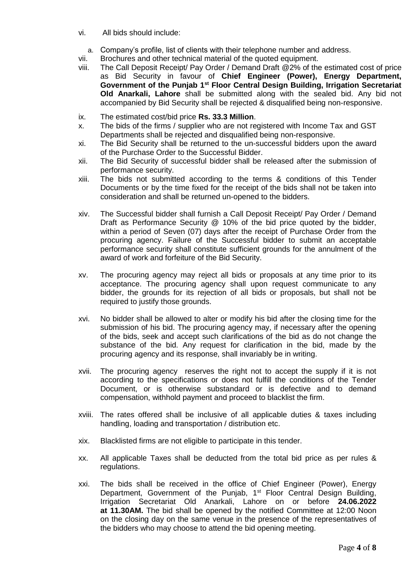- vi. All bids should include:
	- a. Company's profile, list of clients with their telephone number and address.
- vii. Brochures and other technical material of the quoted equipment.
- viii. The Call Deposit Receipt/ Pay Order / Demand Draft @2% of the estimated cost of price as Bid Security in favour of **Chief Engineer (Power), Energy Department, Government of the Punjab 1st Floor Central Design Building, Irrigation Secretariat Old Anarkali, Lahore** shall be submitted along with the sealed bid. Any bid not accompanied by Bid Security shall be rejected & disqualified being non-responsive.
- ix. The estimated cost/bid price **Rs. 33.3 Million**.
- x. The bids of the firms / supplier who are not registered with Income Tax and GST Departments shall be rejected and disqualified being non-responsive.
- xi. The Bid Security shall be returned to the un-successful bidders upon the award of the Purchase Order to the Successful Bidder.
- xii. The Bid Security of successful bidder shall be released after the submission of performance security.
- xiii. The bids not submitted according to the terms & conditions of this Tender Documents or by the time fixed for the receipt of the bids shall not be taken into consideration and shall be returned un-opened to the bidders.
- xiv. The Successful bidder shall furnish a Call Deposit Receipt/ Pay Order / Demand Draft as Performance Security @ 10% of the bid price quoted by the bidder, within a period of Seven (07) days after the receipt of Purchase Order from the procuring agency. Failure of the Successful bidder to submit an acceptable performance security shall constitute sufficient grounds for the annulment of the award of work and forfeiture of the Bid Security.
- xv. The procuring agency may reject all bids or proposals at any time prior to its acceptance. The procuring agency shall upon request communicate to any bidder, the grounds for its rejection of all bids or proposals, but shall not be required to justify those grounds.
- xvi. No bidder shall be allowed to alter or modify his bid after the closing time for the submission of his bid. The procuring agency may, if necessary after the opening of the bids, seek and accept such clarifications of the bid as do not change the substance of the bid. Any request for clarification in the bid, made by the procuring agency and its response, shall invariably be in writing.
- xvii. The procuring agency reserves the right not to accept the supply if it is not according to the specifications or does not fulfill the conditions of the Tender Document, or is otherwise substandard or is defective and to demand compensation, withhold payment and proceed to blacklist the firm.
- xviii. The rates offered shall be inclusive of all applicable duties & taxes including handling, loading and transportation / distribution etc.
- xix. Blacklisted firms are not eligible to participate in this tender.
- xx. All applicable Taxes shall be deducted from the total bid price as per rules & regulations.
- xxi. The bids shall be received in the office of Chief Engineer (Power), Energy Department, Government of the Punjab, 1<sup>st</sup> Floor Central Design Building, Irrigation Secretariat Old Anarkali, Lahore on or before **24.06.2022 at 11.30AM.** The bid shall be opened by the notified Committee at 12:00 Noon on the closing day on the same venue in the presence of the representatives of the bidders who may choose to attend the bid opening meeting.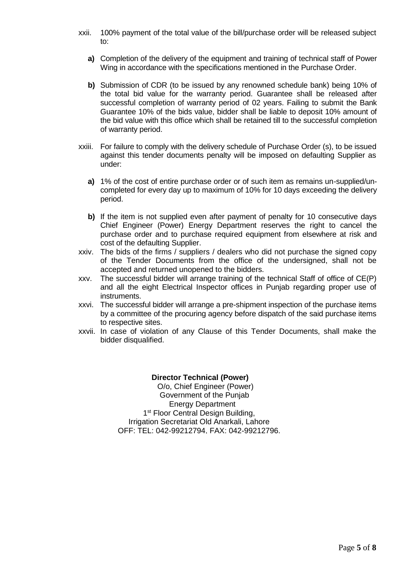- xxii. 100% payment of the total value of the bill/purchase order will be released subject to:
	- **a)** Completion of the delivery of the equipment and training of technical staff of Power Wing in accordance with the specifications mentioned in the Purchase Order.
	- **b)** Submission of CDR (to be issued by any renowned schedule bank) being 10% of the total bid value for the warranty period. Guarantee shall be released after successful completion of warranty period of 02 years. Failing to submit the Bank Guarantee 10% of the bids value, bidder shall be liable to deposit 10% amount of the bid value with this office which shall be retained till to the successful completion of warranty period.
- xxiii. For failure to comply with the delivery schedule of Purchase Order (s), to be issued against this tender documents penalty will be imposed on defaulting Supplier as under:
	- **a)** 1% of the cost of entire purchase order or of such item as remains un-supplied/uncompleted for every day up to maximum of 10% for 10 days exceeding the delivery period.
	- **b)** If the item is not supplied even after payment of penalty for 10 consecutive days Chief Engineer (Power) Energy Department reserves the right to cancel the purchase order and to purchase required equipment from elsewhere at risk and cost of the defaulting Supplier.
- xxiv. The bids of the firms / suppliers / dealers who did not purchase the signed copy of the Tender Documents from the office of the undersigned, shall not be accepted and returned unopened to the bidders.
- xxv. The successful bidder will arrange training of the technical Staff of office of CE(P) and all the eight Electrical Inspector offices in Punjab regarding proper use of instruments.
- xxvi. The successful bidder will arrange a pre-shipment inspection of the purchase items by a committee of the procuring agency before dispatch of the said purchase items to respective sites.
- xxvii. In case of violation of any Clause of this Tender Documents, shall make the bidder disqualified.

# **Director Technical (Power)**

1<sup>st</sup> Floor Central Design Building, O/o, Chief Engineer (Power) Government of the Punjab Energy Department Irrigation Secretariat Old Anarkali, Lahore OFF: TEL: 042-99212794, FAX: 042-99212796.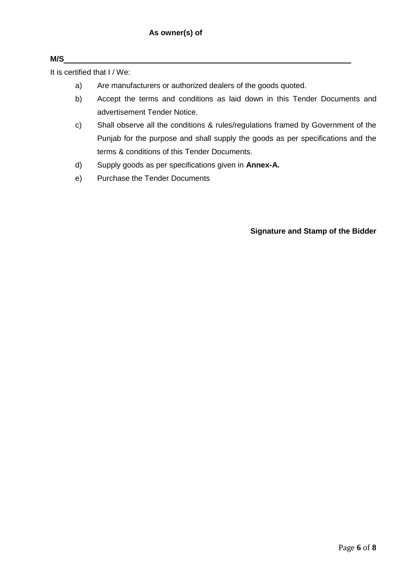### **M/S**

It is certified that I / We:

- a) Are manufacturers or authorized dealers of the goods quoted.
- b) Accept the terms and conditions as laid down in this Tender Documents and advertisement Tender Notice.
- c) Shall observe all the conditions & rules/regulations framed by Government of the Punjab for the purpose and shall supply the goods as per specifications and the terms & conditions of this Tender Documents.
- d) Supply goods as per specifications given in **Annex-A.**
- e) Purchase the Tender Documents

**Signature and Stamp of the Bidder**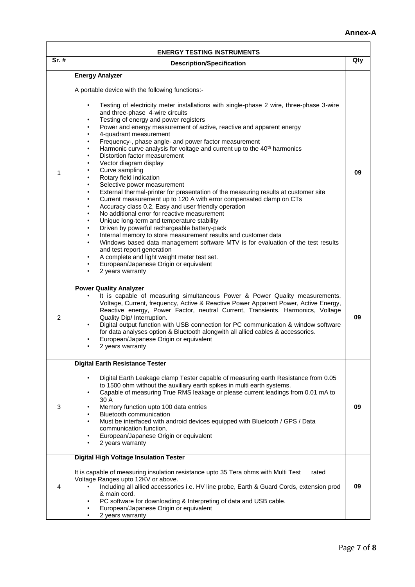### **Annex-A**

 $\overline{\mathsf{I}}$ 

| <b>ENERGY TESTING INSTRUMENTS</b> |                                                                                                                                                                                                                                                                                                                                                                                                                                                                                                                                                                                                                                                                                                                                                                                                                                                                                                                                                                                                                                                                                                                                                                                                                                                                                                                                                                                                                                                                                                |     |  |  |  |  |  |  |
|-----------------------------------|------------------------------------------------------------------------------------------------------------------------------------------------------------------------------------------------------------------------------------------------------------------------------------------------------------------------------------------------------------------------------------------------------------------------------------------------------------------------------------------------------------------------------------------------------------------------------------------------------------------------------------------------------------------------------------------------------------------------------------------------------------------------------------------------------------------------------------------------------------------------------------------------------------------------------------------------------------------------------------------------------------------------------------------------------------------------------------------------------------------------------------------------------------------------------------------------------------------------------------------------------------------------------------------------------------------------------------------------------------------------------------------------------------------------------------------------------------------------------------------------|-----|--|--|--|--|--|--|
| Sr. #                             | <b>Description/Specification</b>                                                                                                                                                                                                                                                                                                                                                                                                                                                                                                                                                                                                                                                                                                                                                                                                                                                                                                                                                                                                                                                                                                                                                                                                                                                                                                                                                                                                                                                               | Qty |  |  |  |  |  |  |
| 1                                 | <b>Energy Analyzer</b><br>A portable device with the following functions:-<br>Testing of electricity meter installations with single-phase 2 wire, three-phase 3-wire<br>and three-phase 4-wire circuits<br>Testing of energy and power registers<br>$\bullet$<br>Power and energy measurement of active, reactive and apparent energy<br>4-quadrant measurement<br>Frequency-, phase angle- and power factor measurement<br>Harmonic curve analysis for voltage and current up to the 40 <sup>th</sup> harmonics<br>$\bullet$<br>Distortion factor measurement<br>Vector diagram display<br>۰<br>Curve sampling<br>$\bullet$<br>Rotary field indication<br>$\bullet$<br>Selective power measurement<br>$\bullet$<br>External thermal-printer for presentation of the measuring results at customer site<br>$\bullet$<br>Current measurement up to 120 A with error compensated clamp on CTs<br>$\bullet$<br>Accuracy class 0.2, Easy and user friendly operation<br>$\bullet$<br>No additional error for reactive measurement<br>Unique long-term and temperature stability<br>$\bullet$<br>Driven by powerful rechargeable battery-pack<br>$\bullet$<br>Internal memory to store measurement results and customer data<br>$\bullet$<br>Windows based data management software MTV is for evaluation of the test results<br>$\bullet$<br>and test report generation<br>A complete and light weight meter test set.<br>$\bullet$<br>European/Japanese Origin or equivalent<br>2 years warranty | 09  |  |  |  |  |  |  |
| 2                                 | <b>Power Quality Analyzer</b><br>It is capable of measuring simultaneous Power & Power Quality measurements,<br>Voltage, Current, frequency, Active & Reactive Power Apparent Power, Active Energy,<br>Reactive energy, Power Factor, neutral Current, Transients, Harmonics, Voltage<br>Quality Dip/ Interruption.<br>Digital output function with USB connection for PC communication & window software<br>$\bullet$<br>for data analyses option & Bluetooth alongwith all allied cables & accessories.<br>European/Japanese Origin or equivalent<br>2 years warranty                                                                                                                                                                                                                                                                                                                                                                                                                                                                                                                                                                                                                                                                                                                                                                                                                                                                                                                        | 09  |  |  |  |  |  |  |
| 3                                 | <b>Digital Earth Resistance Tester</b><br>Digital Earth Leakage clamp Tester capable of measuring earth Resistance from 0.05<br>to 1500 ohm without the auxiliary earth spikes in multi earth systems.<br>Capable of measuring True RMS leakage or please current leadings from 0.01 mA to<br>30 A<br>Memory function upto 100 data entries<br>Bluetooth communication<br>Must be interfaced with android devices equipped with Bluetooth / GPS / Data<br>communication function.<br>European/Japanese Origin or equivalent<br>2 years warranty                                                                                                                                                                                                                                                                                                                                                                                                                                                                                                                                                                                                                                                                                                                                                                                                                                                                                                                                                | 09  |  |  |  |  |  |  |
| 4                                 | <b>Digital High Voltage Insulation Tester</b><br>It is capable of measuring insulation resistance upto 35 Tera ohms with Multi Test<br>rated<br>Voltage Ranges upto 12KV or above.<br>Including all allied accessories i.e. HV line probe, Earth & Guard Cords, extension prod<br>& main cord.<br>PC software for downloading & Interpreting of data and USB cable.<br>European/Japanese Origin or equivalent<br>2 years warranty                                                                                                                                                                                                                                                                                                                                                                                                                                                                                                                                                                                                                                                                                                                                                                                                                                                                                                                                                                                                                                                              | 09  |  |  |  |  |  |  |

 $\Gamma$